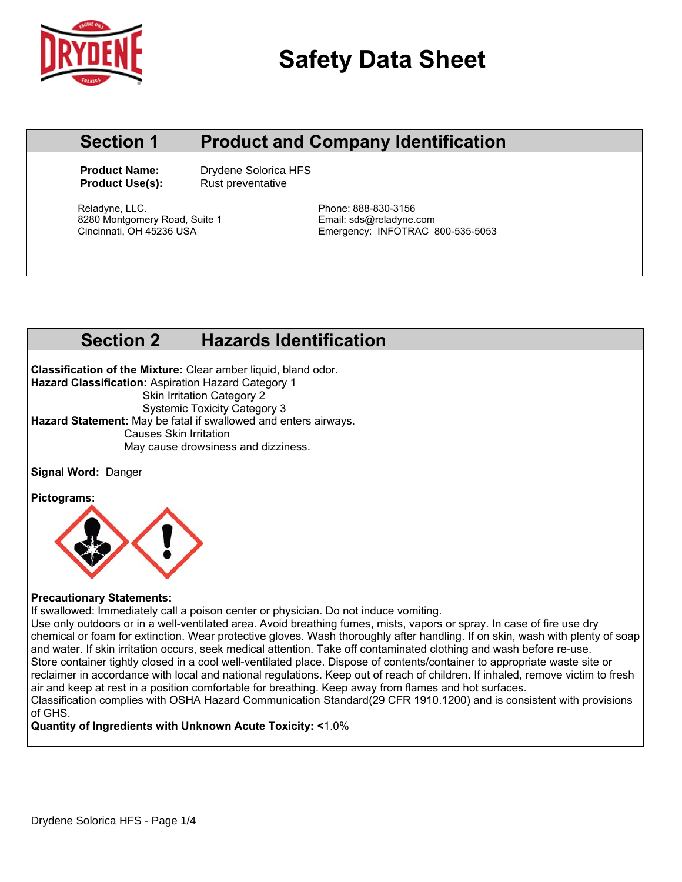

# **Safety Data Sheet**

### **Section 1 Product and Company Identification**

**Product Name:** Drydene Solorica HFS **Product Use(s):** Rust preventative

Reladyne, LLC. **Phone: 888-830-3156** 8280 Montgomery Road, Suite 1 Email: sds@reladyne.com

Emergency: INFOTRAC 800-535-5053

## **Section 2 Hazards Identification**

**Classification of the Mixture:** Clear amber liquid, bland odor. **Hazard Classification:** Aspiration Hazard Category 1 **Skin Irritation Category 2**  Systemic Toxicity Category 3 **Hazard Statement:** May be fatal if swallowed and enters airways. Causes Skin Irritation May cause drowsiness and dizziness.

**Signal Word:** Danger

**Pictograms:** 



#### **Precautionary Statements:**

If swallowed: Immediately call a poison center or physician. Do not induce vomiting.

Use only outdoors or in a well-ventilated area. Avoid breathing fumes, mists, vapors or spray. In case of fire use dry chemical or foam for extinction. Wear protective gloves. Wash thoroughly after handling. If on skin, wash with plenty of soap and water. If skin irritation occurs, seek medical attention. Take off contaminated clothing and wash before re-use. Store container tightly closed in a cool well-ventilated place. Dispose of contents/container to appropriate waste site or reclaimer in accordance with local and national regulations. Keep out of reach of children. If inhaled, remove victim to fresh air and keep at rest in a position comfortable for breathing. Keep away from flames and hot surfaces. Classification complies with OSHA Hazard Communication Standard(29 CFR 1910.1200) and is consistent with provisions of GHS.

**Quantity of Ingredients with Unknown Acute Toxicity: <**1.0%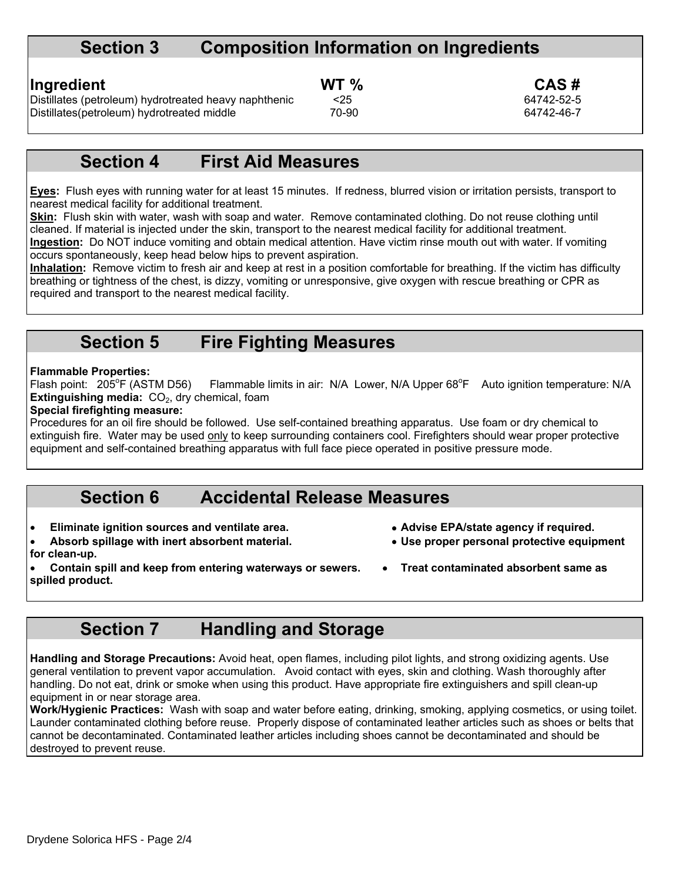#### **Section 3 Composition Information on Ingredients**

**Ingredient** CAS # **CAS # WT %** CAS # **CAS #**  $\frac{25}{1000}$  64742-52-5 Distillates (petroleum) hydrotreated heavy naphthenic <25<br>Distillates (petroleum) hydrotreated middle 70-90 Distillates(petroleum) hydrotreated middle 70-90 70-90 64742-46-7

#### **Section 4 First Aid Measures**

**Eyes:** Flush eyes with running water for at least 15 minutes. If redness, blurred vision or irritation persists, transport to nearest medical facility for additional treatment.

**Skin:** Flush skin with water, wash with soap and water. Remove contaminated clothing. Do not reuse clothing until cleaned. If material is injected under the skin, transport to the nearest medical facility for additional treatment. **Ingestion:** Do NOT induce vomiting and obtain medical attention. Have victim rinse mouth out with water. If vomiting occurs spontaneously, keep head below hips to prevent aspiration.

**Inhalation:** Remove victim to fresh air and keep at rest in a position comfortable for breathing. If the victim has difficulty breathing or tightness of the chest, is dizzy, vomiting or unresponsive, give oxygen with rescue breathing or CPR as required and transport to the nearest medical facility.

#### **Section 5 Fire Fighting Measures**

#### **Flammable Properties:**

Flash point:  $205^{\circ}$ F (ASTM D56) F (ASTM D56) Flammable limits in air: N/A Lower, N/A Upper 68°F Auto ignition temperature: N/A **Extinguishing media:** CO<sub>2</sub>, dry chemical, foam

#### **Special firefighting measure:**

Procedures for an oil fire should be followed. Use self-contained breathing apparatus. Use foam or dry chemical to extinguish fire. Water may be used only to keep surrounding containers cool. Firefighters should wear proper protective equipment and self-contained breathing apparatus with full face piece operated in positive pressure mode.

#### **Section 6 Accidental Release Measures**

- Eliminate ignition sources and ventilate area.  **Advise EPA/state agency if required.**
- Absorb spillage with inert absorbent material. **Also in the Use proper personal protective equipment for clean-up.**
- -
	-

Contain spill and keep from entering waterways or sewers. <br> **•** Treat contaminated absorbent same as **spilled product.** 

## **Section 7 Handling and Storage**

**Handling and Storage Precautions:** Avoid heat, open flames, including pilot lights, and strong oxidizing agents. Use general ventilation to prevent vapor accumulation. Avoid contact with eyes, skin and clothing. Wash thoroughly after handling. Do not eat, drink or smoke when using this product. Have appropriate fire extinguishers and spill clean-up equipment in or near storage area.

**Work/Hygienic Practices:** Wash with soap and water before eating, drinking, smoking, applying cosmetics, or using toilet. Launder contaminated clothing before reuse. Properly dispose of contaminated leather articles such as shoes or belts that cannot be decontaminated. Contaminated leather articles including shoes cannot be decontaminated and should be destroyed to prevent reuse.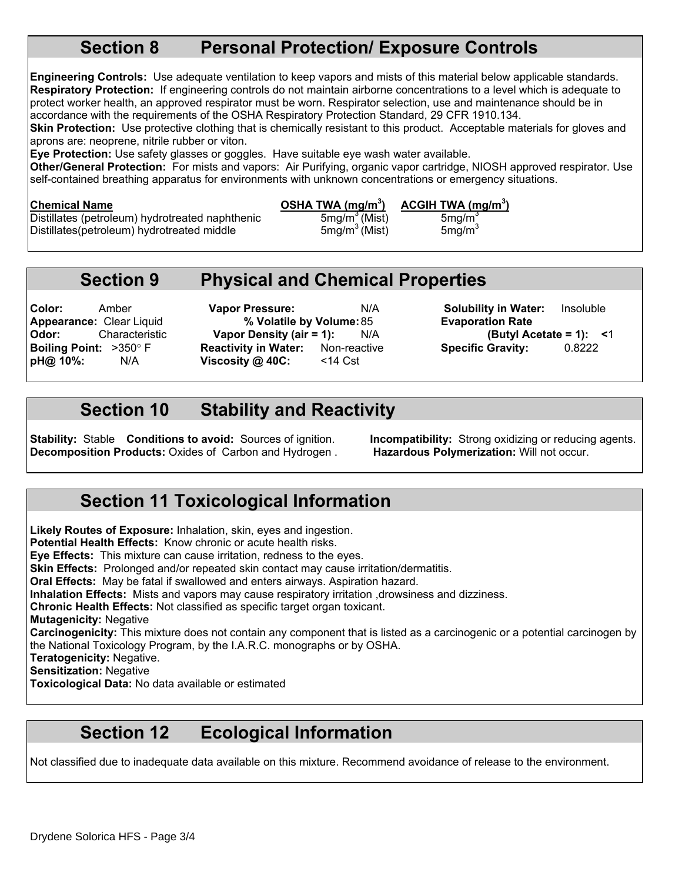### **Section 8 Personal Protection/ Exposure Controls**

**Engineering Controls:** Use adequate ventilation to keep vapors and mists of this material below applicable standards. **Respiratory Protection:** If engineering controls do not maintain airborne concentrations to a level which is adequate to protect worker health, an approved respirator must be worn. Respirator selection, use and maintenance should be in accordance with the requirements of the OSHA Respiratory Protection Standard, 29 CFR 1910.134.

**Skin Protection:** Use protective clothing that is chemically resistant to this product. Acceptable materials for gloves and aprons are: neoprene, nitrile rubber or viton.

**Eye Protection:** Use safety glasses or goggles. Have suitable eye wash water available.

**Other/General Protection:** For mists and vapors: Air Purifying, organic vapor cartridge, NIOSH approved respirator. Use self-contained breathing apparatus for environments with unknown concentrations or emergency situations.

#### Chemical Name **Chemical Name Chemical Name**

Distillates (petroleum) hydrotreated naphthenic 5mg/m<sup>3</sup> (Mist) 5mg/m<sup>3</sup><br>Distillates(petroleum) hydrotreated middle 5mg/m<sup>3</sup> (Mist) 5mg/m<sup>3</sup> Distillates(petroleum) hydrotreated middle

**) ACGIH TWA (mg/m3 )**

## **Section 9 Physical and Chemical Properties**

**Color:** Amber **Vapor Pressure:** N/A **Solubility in Water:** Insoluble **Appearance:** Clear Liquid **% Volatile by Volume:** 85 **Evaporation Rate Boiling Point:**  $>350^{\circ}$  F **Reactivity in Water:** Non-reactive **Specific Gravity:** 0.8222<br> **pH@ 10%:** N/A **Viscosity @ 40C:** <14 Cst **pH@ 10%:** N/A **Viscosity @ 40C:** <14 Cst

**Odor:** Characteristic **Vapor Density (air = 1):** N/A **(Butyl Acetate = 1): <**1

### **Section 10 Stability and Reactivity**

**Stability:** Stable **Conditions to avoid:** Sources of ignition. **Incompatibility:** Strong oxidizing or reducing agents. **Decomposition Products:** Oxides of Carbon and Hydrogen . **Hazardous Polymerization:** Will not occur.

## **Section 11 Toxicological Information**

**Likely Routes of Exposure:** Inhalation, skin, eyes and ingestion. **Potential Health Effects:** Know chronic or acute health risks. **Eye Effects:** This mixture can cause irritation, redness to the eyes. **Skin Effects:** Prolonged and/or repeated skin contact may cause irritation/dermatitis. **Oral Effects:** May be fatal if swallowed and enters airways. Aspiration hazard. **Inhalation Effects:** Mists and vapors may cause respiratory irritation ,drowsiness and dizziness. **Chronic Health Effects:** Not classified as specific target organ toxicant. **Mutagenicity:** Negative **Carcinogenicity:** This mixture does not contain any component that is listed as a carcinogenic or a potential carcinogen by the National Toxicology Program, by the I.A.R.C. monographs or by OSHA. **Teratogenicity:** Negative. **Sensitization:** Negative

**Toxicological Data:** No data available or estimated

## **Section 12 Ecological Information**

Not classified due to inadequate data available on this mixture. Recommend avoidance of release to the environment.